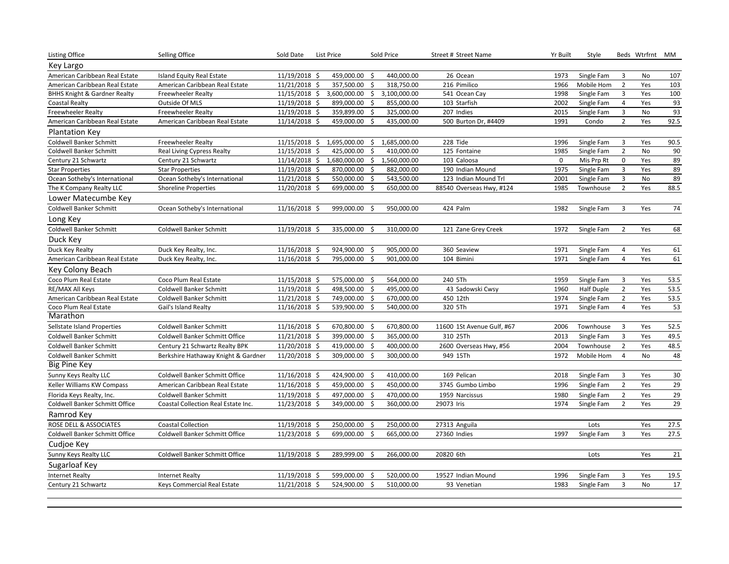| <b>Listing Office</b>                   | Selling Office                      | Sold Date     | List Price    |              | Sold Price   | Street # Street Name       | Yr Built    | Style             |                | Beds Wtrfrnt MM |      |
|-----------------------------------------|-------------------------------------|---------------|---------------|--------------|--------------|----------------------------|-------------|-------------------|----------------|-----------------|------|
| Key Largo                               |                                     |               |               |              |              |                            |             |                   |                |                 |      |
| American Caribbean Real Estate          | Island Equity Real Estate           | 11/19/2018 \$ | 459,000.00    | Ŝ.           | 440,000.00   | 26 Ocean                   | 1973        | Single Fam        | 3              | No              | 107  |
| American Caribbean Real Estate          | American Caribbean Real Estate      | 11/21/2018 \$ | 357,500.00    | \$           | 318,750.00   | 216 Pimilico               | 1966        | Mobile Hom        | $\overline{2}$ | Yes             | 103  |
| <b>BHHS Knight &amp; Gardner Realty</b> | <b>Freewheeler Realty</b>           | 11/15/2018 \$ | 3,600,000.00  | \$           | 3,100,000.00 | 541 Ocean Cay              | 1998        | Single Fam        | 3              | Yes             | 100  |
| Coastal Realty                          | Outside Of MLS                      | 11/19/2018 \$ | 899,000.00    | \$           | 855,000.00   | 103 Starfish               | 2002        | Single Fam        | $\overline{4}$ | Yes             | 93   |
| <b>Freewheeler Realty</b>               | <b>Freewheeler Realty</b>           | 11/19/2018 \$ | 359,899.00    | \$           | 325,000.00   | 207 Indies                 | 2015        | Single Fam        | 3              | No              | 93   |
| American Caribbean Real Estate          | American Caribbean Real Estate      | 11/14/2018 \$ | 459,000.00    | \$           | 435,000.00   | 500 Burton Dr, #4409       | 1991        | Condo             | $\overline{2}$ | Yes             | 92.5 |
| <b>Plantation Key</b>                   |                                     |               |               |              |              |                            |             |                   |                |                 |      |
| Coldwell Banker Schmitt                 | <b>Freewheeler Realty</b>           | 11/15/2018 \$ | 1,695,000.00  | \$           | 1,685,000.00 | 228 Tide                   | 1996        | Single Fam        | 3              | Yes             | 90.5 |
| <b>Coldwell Banker Schmitt</b>          | Real Living Cypress Realty          | 11/15/2018 \$ | 425,000.00    | \$           | 410,000.00   | 125 Fontaine               | 1985        | Single Fam        | $\overline{2}$ | No              | 90   |
| Century 21 Schwartz                     | Century 21 Schwartz                 | 11/14/2018 \$ | 1,680,000.00  | \$           | 1,560,000.00 | 103 Caloosa                | $\mathbf 0$ | Mis Prp Rt        | $\mathbf 0$    | Yes             | 89   |
| <b>Star Properties</b>                  | <b>Star Properties</b>              | 11/19/2018 \$ | 870,000.00    | S.           | 882,000.00   | 190 Indian Mound           | 1975        | Single Fam        | $\overline{3}$ | Yes             | 89   |
| Ocean Sotheby's International           | Ocean Sotheby's International       | 11/21/2018 \$ | 550,000.00    | $\mathsf{S}$ | 543,500.00   | 123 Indian Mound Trl       | 2001        | Single Fam        | 3              | No              | 89   |
| The K Company Realty LLC                | <b>Shoreline Properties</b>         | 11/20/2018 \$ | 699,000.00    | -\$          | 650,000.00   | 88540 Overseas Hwy, #124   | 1985        | Townhouse         | $\overline{2}$ | Yes             | 88.5 |
| Lower Matecumbe Key                     |                                     |               |               |              |              |                            |             |                   |                |                 |      |
| Coldwell Banker Schmitt                 | Ocean Sotheby's International       | 11/16/2018 \$ | 999,000.00    | - \$         | 950,000.00   | 424 Palm                   | 1982        | Single Fam        | 3              | Yes             | 74   |
| Long Key                                |                                     |               |               |              |              |                            |             |                   |                |                 |      |
| <b>Coldwell Banker Schmitt</b>          | <b>Coldwell Banker Schmitt</b>      | 11/19/2018 \$ | 335,000.00 \$ |              | 310,000.00   | 121 Zane Grey Creek        | 1972        | Single Fam        | $\overline{2}$ | Yes             | 68   |
| Duck Key                                |                                     |               |               |              |              |                            |             |                   |                |                 |      |
| Duck Key Realty                         | Duck Key Realty, Inc.               | 11/16/2018 \$ | 924,900.00    | \$           | 905,000.00   | 360 Seaview                | 1971        | Single Fam        | 4              | Yes             | 61   |
| American Caribbean Real Estate          | Duck Key Realty, Inc.               | 11/16/2018 \$ | 795,000.00    | - Ś          | 901,000.00   | 104 Bimini                 | 1971        | Single Fam        | $\overline{4}$ | Yes             | 61   |
| Key Colony Beach                        |                                     |               |               |              |              |                            |             |                   |                |                 |      |
| Coco Plum Real Estate                   | Coco Plum Real Estate               | 11/15/2018 \$ | 575,000.00    | \$           | 564,000.00   | 240 5Th                    | 1959        | Single Fam        | 3              | Yes             | 53.5 |
| RE/MAX All Keys                         | Coldwell Banker Schmitt             | 11/19/2018 \$ | 498,500.00    | \$           | 495,000.00   | 43 Sadowski Cwsy           | 1960        | <b>Half Duple</b> | $\overline{2}$ | Yes             | 53.5 |
| American Caribbean Real Estate          | <b>Coldwell Banker Schmitt</b>      | 11/21/2018 \$ | 749,000.00    | \$           | 670,000.00   | 450 12th                   | 1974        | Single Fam        | $\overline{2}$ | Yes             | 53.5 |
| Coco Plum Real Estate                   | Gail's Island Realty                | 11/16/2018 \$ | 539,900.00    | $\mathsf{S}$ | 540,000.00   | 320 5Th                    | 1971        | Single Fam        | $\overline{4}$ | Yes             | 53   |
| Marathon                                |                                     |               |               |              |              |                            |             |                   |                |                 |      |
| Sellstate Island Properties             | <b>Coldwell Banker Schmitt</b>      | 11/16/2018 \$ | 670,800.00    | -\$          | 670,800.00   | 11600 1St Avenue Gulf, #67 | 2006        | Townhouse         | 3              | Yes             | 52.5 |
| Coldwell Banker Schmitt                 | Coldwell Banker Schmitt Office      | 11/21/2018 \$ | 399,000.00 \$ |              | 365,000.00   | 310 25Th                   | 2013        | Single Fam        | 3              | Yes             | 49.5 |
| <b>Coldwell Banker Schmitt</b>          | Century 21 Schwartz Realty BPK      | 11/20/2018 \$ | 419,000.00    | \$           | 400,000.00   | 2600 Overseas Hwy, #56     | 2004        | Townhouse         | $\overline{2}$ | Yes             | 48.5 |
| Coldwell Banker Schmitt                 | Berkshire Hathaway Knight & Gardner | 11/20/2018 \$ | 309,000.00 \$ |              | 300,000.00   | 949 15Th                   | 1972        | Mobile Hom        | $\overline{4}$ | No              | 48   |
| Big Pine Key                            |                                     |               |               |              |              |                            |             |                   |                |                 |      |
| Sunny Keys Realty LLC                   | Coldwell Banker Schmitt Office      | 11/16/2018 \$ | 424,900.00    | -\$          | 410,000.00   | 169 Pelican                | 2018        | Single Fam        | 3              | Yes             | 30   |
| Keller Williams KW Compass              | American Caribbean Real Estate      | 11/16/2018 \$ | 459,000.00    | \$           | 450,000.00   | 3745 Gumbo Limbo           | 1996        | Single Fam        | $\overline{2}$ | Yes             | 29   |
| Florida Keys Realty, Inc.               | Coldwell Banker Schmitt             | 11/19/2018 \$ | 497,000.00    | \$           | 470,000.00   | 1959 Narcissus             | 1980        | Single Fam        | $\overline{2}$ | Yes             | 29   |
| Coldwell Banker Schmitt Office          | Coastal Collection Real Estate Inc. | 11/23/2018 \$ | 349,000.00    | -\$          | 360,000.00   | 29073 Iris                 | 1974        | Single Fam        | $\overline{2}$ | Yes             | 29   |
| Ramrod Key                              |                                     |               |               |              |              |                            |             |                   |                |                 |      |
| ROSE DELL & ASSOCIATES                  | <b>Coastal Collection</b>           | 11/19/2018 \$ | 250,000.00 \$ |              | 250,000.00   | 27313 Anguila              |             | Lots              |                | Yes             | 27.5 |
| Coldwell Banker Schmitt Office          | Coldwell Banker Schmitt Office      | 11/23/2018 \$ | 699,000.00    | $\mathsf{S}$ | 665,000.00   | 27360 Indies               | 1997        | Single Fam        | 3              | Yes             | 27.5 |
| Cudjoe Key                              |                                     |               |               |              |              |                            |             |                   |                |                 |      |
| Sunny Keys Realty LLC                   | Coldwell Banker Schmitt Office      | 11/19/2018 \$ | 289,999.00    | -\$          | 266,000.00   | 20820 6th                  |             | Lots              |                | Yes             | 21   |
| Sugarloaf Key                           |                                     |               |               |              |              |                            |             |                   |                |                 |      |
| <b>Internet Realty</b>                  | <b>Internet Realty</b>              | 11/19/2018 \$ | 599,000.00    | -\$          | 520,000.00   | 19527 Indian Mound         | 1996        | Single Fam        | 3              | Yes             | 19.5 |
| Century 21 Schwartz                     | Keys Commercial Real Estate         | 11/21/2018 \$ | 524,900.00    | -\$          | 510,000.00   | 93 Venetian                | 1983        | Single Fam        | $\overline{3}$ | No              | 17   |
|                                         |                                     |               |               |              |              |                            |             |                   |                |                 |      |